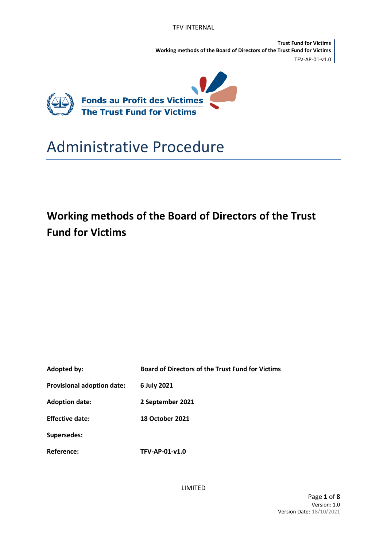**Trust Fund for Victims Working methods of the Board of Directors of the Trust Fund for Victims** TFV-AP-01-v1.0



# Administrative Procedure

## **Working methods of the Board of Directors of the Trust Fund for Victims**

| Adopted by:                       | <b>Board of Directors of the Trust Fund for Victims</b> |
|-----------------------------------|---------------------------------------------------------|
| <b>Provisional adoption date:</b> | 6 July 2021                                             |
| <b>Adoption date:</b>             | 2 September 2021                                        |
| <b>Effective date:</b>            | <b>18 October 2021</b>                                  |
| <b>Supersedes:</b>                |                                                         |
| <b>Reference:</b>                 | TFV-AP-01-v1.0                                          |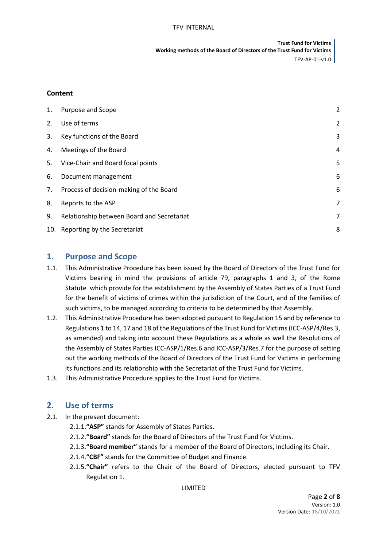**Trust Fund for Victims Working methods of the Board of Directors of the Trust Fund for Victims** TFV-AP-01-v1.0

#### **Content**

| 1. | Purpose and Scope                          | $\overline{2}$ |
|----|--------------------------------------------|----------------|
| 2. | Use of terms                               | $\overline{2}$ |
| 3. | Key functions of the Board                 | 3              |
| 4. | Meetings of the Board                      | 4              |
| 5. | Vice-Chair and Board focal points          | 5              |
| 6. | Document management                        | 6              |
| 7. | Process of decision-making of the Board    | 6              |
| 8. | Reports to the ASP                         | 7              |
| 9. | Relationship between Board and Secretariat | 7              |
|    | 10. Reporting by the Secretariat           | 8              |

#### <span id="page-1-0"></span>**1. Purpose and Scope**

- 1.1. This Administrative Procedure has been issued by the Board of Directors of the Trust Fund for Victims bearing in mind the provisions of article 79, paragraphs 1 and 3, of the Rome Statute which provide for the establishment by the Assembly of States Parties of a Trust Fund for the benefit of victims of crimes within the jurisdiction of the Court, and of the families of such victims, to be managed according to criteria to be determined by that Assembly.
- 1.2. This Administrative Procedure has been adopted pursuant to Regulation 15 and by reference to Regulations 1 to 14, 17 and 18 of the Regulations of the Trust Fund for Victims (ICC-ASP/4/Res.3, as amended) and taking into account these Regulations as a whole as well the Resolutions of the Assembly of States Parties ICC-ASP/1/Res.6 and ICC-ASP/3/Res.7 for the purpose of setting out the working methods of the Board of Directors of the Trust Fund for Victims in performing its functions and its relationship with the Secretariat of the Trust Fund for Victims.
- 1.3. This Administrative Procedure applies to the Trust Fund for Victims.

#### <span id="page-1-1"></span>**2. Use of terms**

- 2.1. In the present document:
	- 2.1.1.**"ASP"** stands for Assembly of States Parties.
	- 2.1.2.**"Board"** stands for the Board of Directors of the Trust Fund for Victims.
	- 2.1.3.**"Board member"** stands for a member of the Board of Directors, including its Chair.
	- 2.1.4.**"CBF"** stands for the Committee of Budget and Finance.
	- 2.1.5.**"Chair"** refers to the Chair of the Board of Directors, elected pursuant to TFV Regulation 1.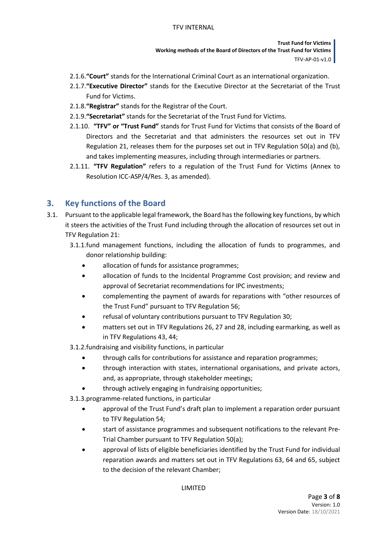**Trust Fund for Victims Working methods of the Board of Directors of the Trust Fund for Victims** TFV-AP-01-v1.0

- 2.1.6.**"Court"** stands for the International Criminal Court as an international organization.
- 2.1.7.**"Executive Director"** stands for the Executive Director at the Secretariat of the Trust Fund for Victims.
- 2.1.8.**"Registrar"** stands for the Registrar of the Court.
- 2.1.9.**"Secretariat"** stands for the Secretariat of the Trust Fund for Victims.
- 2.1.10. **"TFV" or "Trust Fund"** stands for Trust Fund for Victims that consists of the Board of Directors and the Secretariat and that administers the resources set out in TFV Regulation 21, releases them for the purposes set out in TFV Regulation 50(a) and (b), and takes implementing measures, including through intermediaries or partners.
- 2.1.11. **"TFV Regulation"** refers to a regulation of the Trust Fund for Victims (Annex to Resolution ICC-ASP/4/Res. 3, as amended).

## <span id="page-2-0"></span>**3. Key functions of the Board**

- 3.1. Pursuant to the applicable legal framework, the Board has the following key functions, by which it steers the activities of the Trust Fund including through the allocation of resources set out in TFV Regulation 21:
	- 3.1.1.fund management functions, including the allocation of funds to programmes, and donor relationship building:
		- allocation of funds for assistance programmes;
		- allocation of funds to the Incidental Programme Cost provision; and review and approval of Secretariat recommendations for IPC investments;
		- complementing the payment of awards for reparations with "other resources of the Trust Fund" pursuant to TFV Regulation 56;
		- refusal of voluntary contributions pursuant to TFV Regulation 30;
		- matters set out in TFV Regulations 26, 27 and 28, including earmarking, as well as in TFV Regulations 43, 44;
	- 3.1.2.fundraising and visibility functions, in particular
		- through calls for contributions for assistance and reparation programmes;
		- through interaction with states, international organisations, and private actors, and, as appropriate, through stakeholder meetings;
		- through actively engaging in fundraising opportunities;

3.1.3.programme-related functions, in particular

- approval of the Trust Fund's draft plan to implement a reparation order pursuant to TFV Regulation 54;
- start of assistance programmes and subsequent notifications to the relevant Pre-Trial Chamber pursuant to TFV Regulation 50(a);
- approval of lists of eligible beneficiaries identified by the Trust Fund for individual reparation awards and matters set out in TFV Regulations 63, 64 and 65, subject to the decision of the relevant Chamber;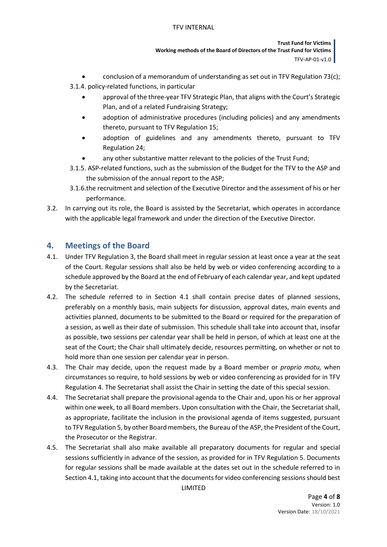**Trust Fund for Victims Working methods of the Board of Directors of the Trust Fund for Victims** TFV-AP-01-v1.0

- conclusion of a memorandum of understanding as set out in TFV Regulation 73(c);
- 3.1.4. policy-related functions, in particular
	- approval of the three-year TFV Strategic Plan, that aligns with the Court's Strategic Plan, and of a related Fundraising Strategy;
	- adoption of administrative procedures (including policies) and any amendments thereto, pursuant to TFV Regulation 15;
	- adoption of guidelines and any amendments thereto, pursuant to TFV Regulation 24;
	- any other substantive matter relevant to the policies of the Trust Fund;
- 3.1.5. ASP-related functions, such as the submission of the Budget for the TFV to the ASP and the submission of the annual report to the ASP;
- 3.1.6.the recruitment and selection of the Executive Director and the assessment of his or her performance.
- 3.2. In carrying out its role, the Board is assisted by the Secretariat, which operates in accordance with the applicable legal framework and under the direction of the Executive Director.

### <span id="page-3-0"></span>**4. Meetings of the Board**

- <span id="page-3-1"></span>4.1. Under TFV Regulation 3, the Board shall meet in regular session at least once a year at the seat of the Court. Regular sessions shall also be held by web or video conferencing according to a schedule approved by the Board at the end of February of each calendar year, and kept updated by the Secretariat.
- 4.2. The schedule referred to in Section [4.1](#page-3-1) shall contain precise dates of planned sessions, preferably on a monthly basis, main subjects for discussion, approval dates, main events and activities planned, documents to be submitted to the Board or required for the preparation of a session, as well as their date of submission. This schedule shall take into account that, insofar as possible, two sessions per calendar year shall be held in person, of which at least one at the seat of the Court; the Chair shall ultimately decide, resources permitting, on whether or not to hold more than one session per calendar year in person.
- 4.3. The Chair may decide, upon the request made by a Board member or *proprio motu,* when circumstances so require, to hold sessions by web or video conferencing as provided for in TFV Regulation 4. The Secretariat shall assist the Chair in setting the date of this special session.
- <span id="page-3-2"></span>4.4. The Secretariat shall prepare the provisional agenda to the Chair and, upon his or her approval within one week, to all Board members. Upon consultation with the Chair, the Secretariat shall, as appropriate, facilitate the inclusion in the provisional agenda of items suggested, pursuant to TFV Regulation 5, by other Board members, the Bureau of the ASP, the President of the Court, the Prosecutor or the Registrar.
- 4.5. The Secretariat shall also make available all preparatory documents for regular and special sessions sufficiently in advance of the session, as provided for in TFV Regulation 5. Documents for regular sessions shall be made available at the dates set out in the schedule referred to in Sectio[n 4.1,](#page-3-1) taking into account that the documents for video conferencing sessions should best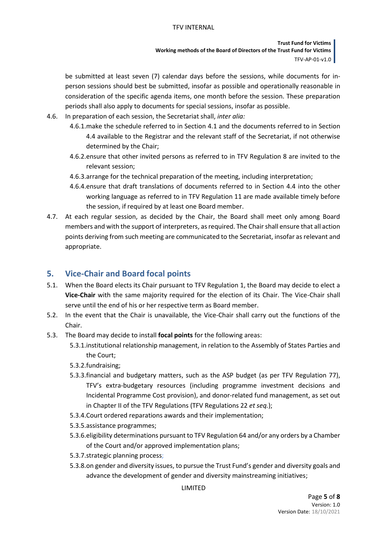**Trust Fund for Victims Working methods of the Board of Directors of the Trust Fund for Victims** TFV-AP-01-v1.0

be submitted at least seven (7) calendar days before the sessions, while documents for inperson sessions should best be submitted, insofar as possible and operationally reasonable in consideration of the specific agenda items, one month before the session. These preparation periods shall also apply to documents for special sessions, insofar as possible.

- 4.6. In preparation of each session, the Secretariat shall, *inter alia:*
	- 4.6.1.make the schedule referred to in Sectio[n 4.1](#page-3-1) and the documents referred to in Section [4.4](#page-3-2) available to the Registrar and the relevant staff of the Secretariat, if not otherwise determined by the Chair;
	- 4.6.2.ensure that other invited persons as referred to in TFV Regulation 8 are invited to the relevant session;
	- 4.6.3.arrange for the technical preparation of the meeting, including interpretation;
	- 4.6.4.ensure that draft translations of documents referred to in Section [4.4](#page-3-2) into the other working language as referred to in TFV Regulation 11 are made available timely before the session, if required by at least one Board member.
- 4.7. At each regular session, as decided by the Chair, the Board shall meet only among Board members and with the support of interpreters, as required. The Chair shall ensure that all action points deriving from such meeting are communicated to the Secretariat, insofar as relevant and appropriate.

## <span id="page-4-0"></span>**5. Vice-Chair and Board focal points**

- 5.1. When the Board elects its Chair pursuant to TFV Regulation 1, the Board may decide to elect a **Vice-Chair** with the same majority required for the election of its Chair. The Vice-Chair shall serve until the end of his or her respective term as Board member.
- 5.2. In the event that the Chair is unavailable, the Vice-Chair shall carry out the functions of the Chair.
- <span id="page-4-1"></span>5.3. The Board may decide to install **focal points** for the following areas:
	- 5.3.1.institutional relationship management, in relation to the Assembly of States Parties and the Court;
	- 5.3.2.fundraising;
	- 5.3.3.financial and budgetary matters, such as the ASP budget (as per TFV Regulation 77), TFV's extra-budgetary resources (including programme investment decisions and Incidental Programme Cost provision), and donor-related fund management, as set out in Chapter II of the TFV Regulations (TFV Regulations 22 *et seq.*);
	- 5.3.4.Court ordered reparations awards and their implementation;
	- 5.3.5.assistance programmes;
	- 5.3.6.eligibility determinations pursuant to TFV Regulation 64 and/or any orders by a Chamber of the Court and/or approved implementation plans;
	- 5.3.7.strategic planning process;
	- 5.3.8.on gender and diversity issues, to pursue the Trust Fund's gender and diversity goals and advance the development of gender and diversity mainstreaming initiatives;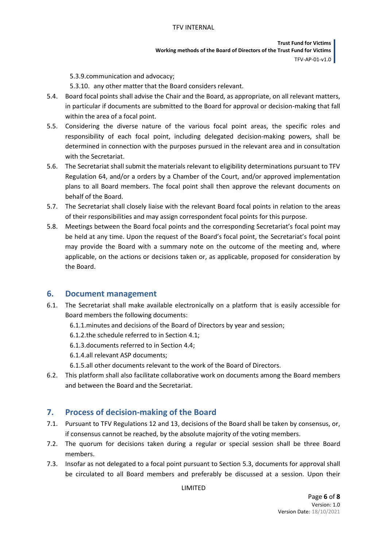**Trust Fund for Victims Working methods of the Board of Directors of the Trust Fund for Victims** TFV-AP-01-v1.0

5.3.9.communication and advocacy;

5.3.10. any other matter that the Board considers relevant.

- 5.4. Board focal points shall advise the Chair and the Board, as appropriate, on all relevant matters, in particular if documents are submitted to the Board for approval or decision-making that fall within the area of a focal point.
- 5.5. Considering the diverse nature of the various focal point areas, the specific roles and responsibility of each focal point, including delegated decision-making powers, shall be determined in connection with the purposes pursued in the relevant area and in consultation with the Secretariat.
- 5.6. The Secretariat shall submit the materials relevant to eligibility determinations pursuant to TFV Regulation 64, and/or a orders by a Chamber of the Court, and/or approved implementation plans to all Board members. The focal point shall then approve the relevant documents on behalf of the Board.
- 5.7. The Secretariat shall closely liaise with the relevant Board focal points in relation to the areas of their responsibilities and may assign correspondent focal points for this purpose.
- 5.8. Meetings between the Board focal points and the corresponding Secretariat's focal point may be held at any time. Upon the request of the Board's focal point, the Secretariat's focal point may provide the Board with a summary note on the outcome of the meeting and, where applicable, on the actions or decisions taken or, as applicable, proposed for consideration by the Board.

## <span id="page-5-0"></span>**6. Document management**

- 6.1. The Secretariat shall make available electronically on a platform that is easily accessible for Board members the following documents:
	- 6.1.1.minutes and decisions of the Board of Directors by year and session;
	- 6.1.2.the schedule referred to in Section [4.1;](#page-3-1)
	- 6.1.3.documents referred to in Section [4.4;](#page-3-2)
	- 6.1.4.all relevant ASP documents;
	- 6.1.5.all other documents relevant to the work of the Board of Directors.
- 6.2. This platform shall also facilitate collaborative work on documents among the Board members and between the Board and the Secretariat.

## <span id="page-5-1"></span>**7. Process of decision-making of the Board**

- 7.1. Pursuant to TFV Regulations 12 and 13, decisions of the Board shall be taken by consensus, or, if consensus cannot be reached, by the absolute majority of the voting members.
- 7.2. The quorum for decisions taken during a regular or special session shall be three Board members.
- 7.3. Insofar as not delegated to a focal point pursuant to Section 5.3, documents for approval shall be circulated to all Board members and preferably be discussed at a session. Upon their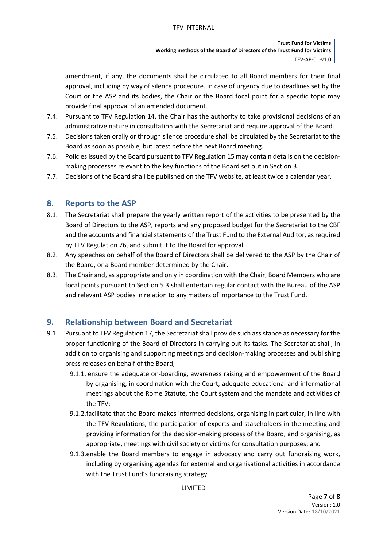**Trust Fund for Victims Working methods of the Board of Directors of the Trust Fund for Victims** TFV-AP-01-v1.0

amendment, if any, the documents shall be circulated to all Board members for their final approval, including by way of silence procedure. In case of urgency due to deadlines set by the Court or the ASP and its bodies, the Chair or the Board focal point for a specific topic may provide final approval of an amended document.

- 7.4. Pursuant to TFV Regulation 14, the Chair has the authority to take provisional decisions of an administrative nature in consultation with the Secretariat and require approval of the Board.
- 7.5. Decisions taken orally or through silence procedure shall be circulated by the Secretariat to the Board as soon as possible, but latest before the next Board meeting.
- 7.6. Policies issued by the Board pursuant to TFV Regulation 15 may contain details on the decisionmaking processes relevant to the key functions of the Board set out in Section [3.](#page-2-0)
- 7.7. Decisions of the Board shall be published on the TFV website, at least twice a calendar year.

## <span id="page-6-0"></span>**8. Reports to the ASP**

- 8.1. The Secretariat shall prepare the yearly written report of the activities to be presented by the Board of Directors to the ASP, reports and any proposed budget for the Secretariat to the CBF and the accounts and financial statements of the Trust Fund to the External Auditor, as required by TFV Regulation 76, and submit it to the Board for approval.
- 8.2. Any speeches on behalf of the Board of Directors shall be delivered to the ASP by the Chair of the Board, or a Board member determined by the Chair.
- 8.3. The Chair and, as appropriate and only in coordination with the Chair, Board Members who are focal points pursuant to Section [5.3](#page-4-1) shall entertain regular contact with the Bureau of the ASP and relevant ASP bodies in relation to any matters of importance to the Trust Fund.

## <span id="page-6-1"></span>**9. Relationship between Board and Secretariat**

- 9.1. Pursuant to TFV Regulation 17, the Secretariat shall provide such assistance as necessary for the proper functioning of the Board of Directors in carrying out its tasks. The Secretariat shall, in addition to organising and supporting meetings and decision-making processes and publishing press releases on behalf of the Board,
	- 9.1.1. ensure the adequate on-boarding, awareness raising and empowerment of the Board by organising, in coordination with the Court, adequate educational and informational meetings about the Rome Statute, the Court system and the mandate and activities of the TFV;
	- 9.1.2.facilitate that the Board makes informed decisions, organising in particular, in line with the TFV Regulations, the participation of experts and stakeholders in the meeting and providing information for the decision-making process of the Board, and organising, as appropriate, meetings with civil society or victims for consultation purposes; and
	- 9.1.3.enable the Board members to engage in advocacy and carry out fundraising work, including by organising agendas for external and organisational activities in accordance with the Trust Fund's fundraising strategy.